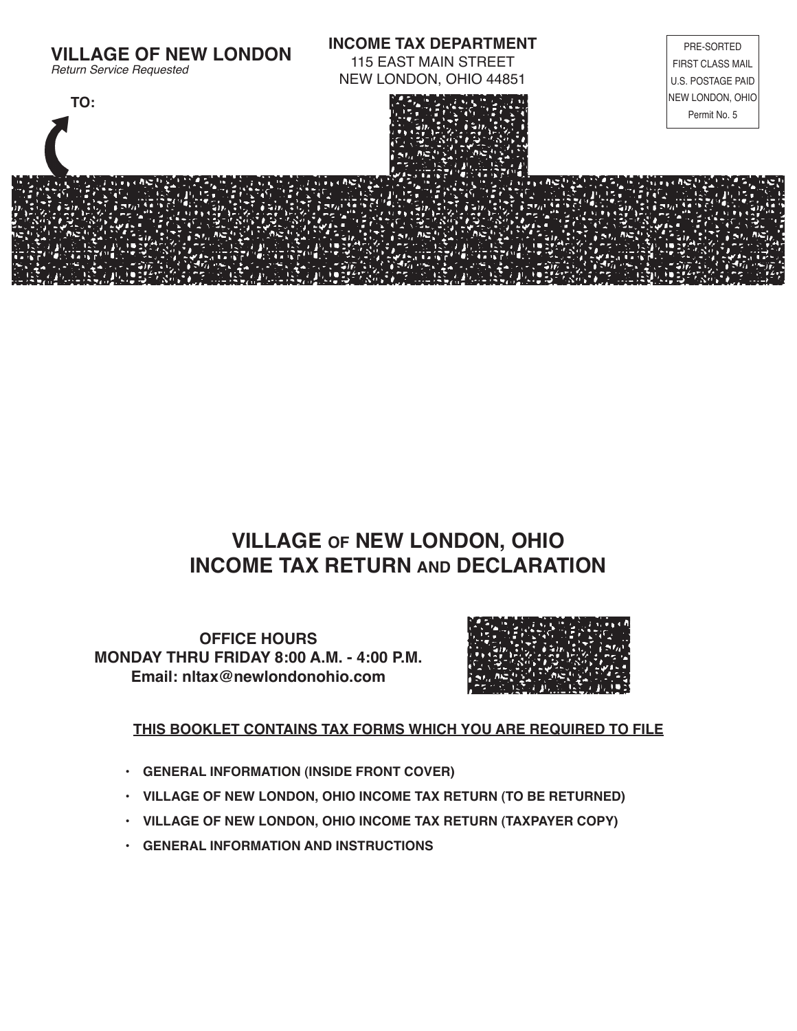

## **VILLAGE OF NEW LONDON, OHIO INCOME TAX RETURN AND DECLARATION**

**OFFICE HOURS MONDAY THRU FRIDAY 8:00 A.M. - 4:00 P.M. Email: nltax@newlondonohio.com**



### **THIS BOOKLET CONTAINS TAX FORMS WHICH YOU ARE REQUIRED TO FILE**

- **• GENERAL INFORMATION (INSIDE FRONT COVER)**
- **• VILLAGE OF NEW LONDON, OHIO INCOME TAX RETURN (TO BE RETURNED)**
- **• VILLAGE OF NEW LONDON, OHIO INCOME TAX RETURN (TAXPAYER COPY)**
- **• GENERAL INFORMATION AND INSTRUCTIONS**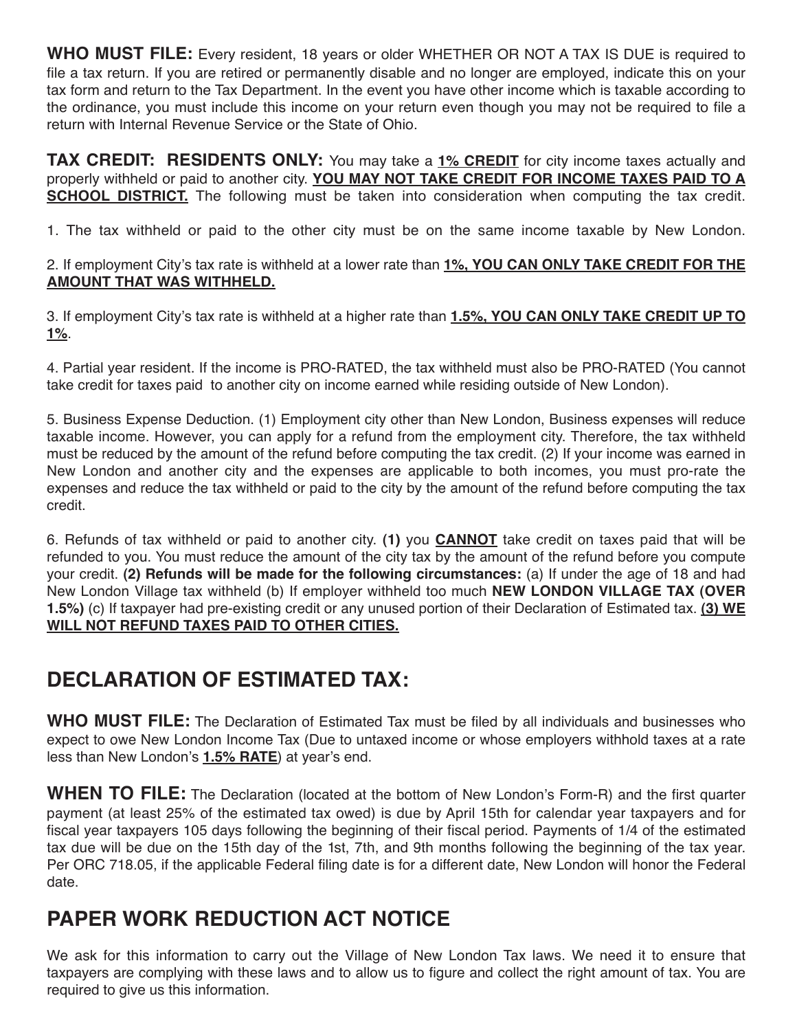**WHO MUST FILE:** Every resident, 18 years or older WHETHER OR NOT A TAX IS DUE is required to file a tax return. If you are retired or permanently disable and no longer are employed, indicate this on your tax form and return to the Tax Department. In the event you have other income which is taxable according to the ordinance, you must include this income on your return even though you may not be required to file a return with Internal Revenue Service or the State of Ohio.

**TAX CREDIT: RESIDENTS ONLY:** You may take a **1% CREDIT** for city income taxes actually and properly withheld or paid to another city. **YOU MAY NOT TAKE CREDIT FOR INCOME TAXES PAID TO A SCHOOL DISTRICT.** The following must be taken into consideration when computing the tax credit.

1. The tax withheld or paid to the other city must be on the same income taxable by New London.

2. If employment City's tax rate is withheld at a lower rate than **1%, YOU CAN ONLY TAKE CREDIT FOR THE AMOUNT THAT WAS WITHHELD.**

3. If employment City's tax rate is withheld at a higher rate than **1.5%, YOU CAN ONLY TAKE CREDIT UP TO 1%**.

4. Partial year resident. If the income is PRO-RATED, the tax withheld must also be PRO-RATED (You cannot take credit for taxes paid to another city on income earned while residing outside of New London).

5. Business Expense Deduction. (1) Employment city other than New London, Business expenses will reduce taxable income. However, you can apply for a refund from the employment city. Therefore, the tax withheld must be reduced by the amount of the refund before computing the tax credit. (2) If your income was earned in New London and another city and the expenses are applicable to both incomes, you must pro-rate the expenses and reduce the tax withheld or paid to the city by the amount of the refund before computing the tax credit.

6. Refunds of tax withheld or paid to another city. **(1)** you **CANNOT** take credit on taxes paid that will be refunded to you. You must reduce the amount of the city tax by the amount of the refund before you compute your credit. **(2) Refunds will be made for the following circumstances:** (a) If under the age of 18 and had New London Village tax withheld (b) If employer withheld too much **NEW LONDON VILLAGE TAX (OVER 1.5%)** (c) If taxpayer had pre-existing credit or any unused portion of their Declaration of Estimated tax. **(3) WE WILL NOT REFUND TAXES PAID TO OTHER CITIES.**

# **DECLARATION OF ESTIMATED TAX:**

**WHO MUST FILE:** The Declaration of Estimated Tax must be filed by all individuals and businesses who expect to owe New London Income Tax (Due to untaxed income or whose employers withhold taxes at a rate less than New London's **1.5% RATE**) at year's end.

**WHEN TO FILE:** The Declaration (located at the bottom of New London's Form-R) and the first quarter payment (at least 25% of the estimated tax owed) is due by April 15th for calendar year taxpayers and for fiscal year taxpayers 105 days following the beginning of their fiscal period. Payments of 1/4 of the estimated tax due will be due on the 15th day of the 1st, 7th, and 9th months following the beginning of the tax year. Per ORC 718.05, if the applicable Federal filing date is for a different date, New London will honor the Federal date.

# **PAPER WORK REDUCTION ACT NOTICE**

We ask for this information to carry out the Village of New London Tax laws. We need it to ensure that taxpayers are complying with these laws and to allow us to figure and collect the right amount of tax. You are required to give us this information.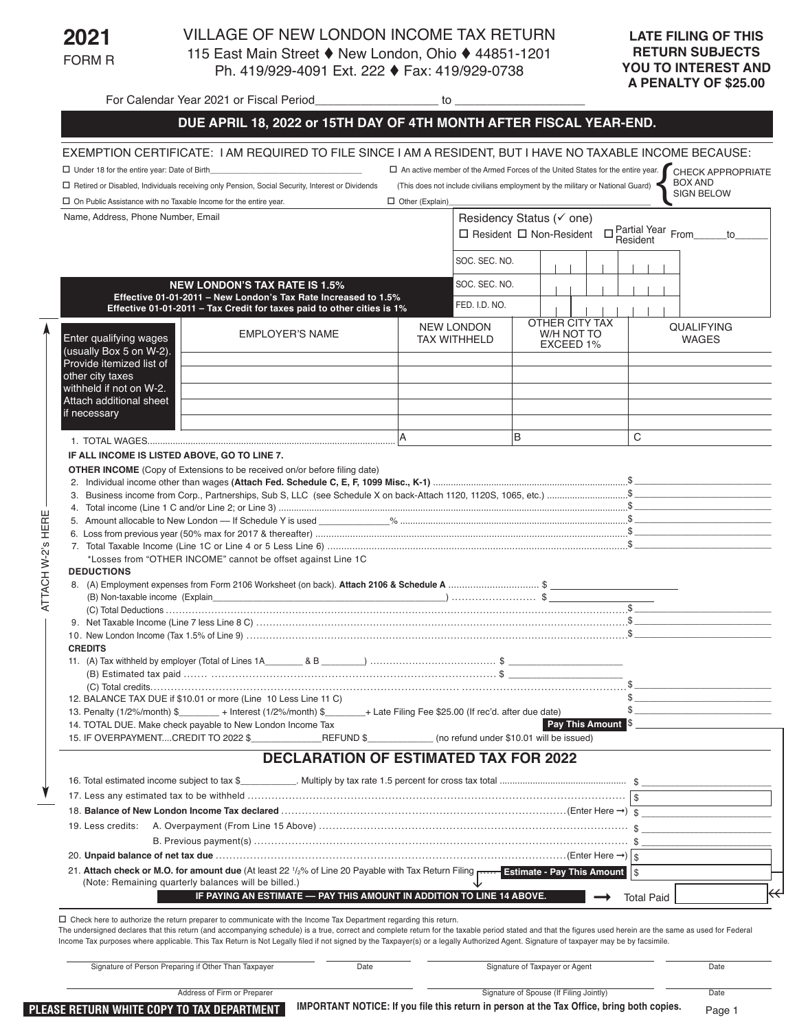**2021** FORM R

AT TA CH

W-2's HERE

#### VILLAGE OF NEW LONDON INCOME TAX RETURN 115 East Main Street ♦ New London, Ohio ♦ 44851-1201 Ph. 419/929-4091 Ext. 222 ♦ Fax: 419/929-0738

For Calendar Year 2021 or Fiscal Period **Fig. 10** to to

## **DUE APRIL 18, 2022 or 15TH DAY OF 4TH MONTH AFTER FISCAL YEAR-END.** EXEMPTION CERTIFICATE: I AM REQUIRED TO FILE SINCE LAM A RESIDENT, BUT LHAVE NO TAXABLE INCOME BECAUSE:

| $\Box$ Under 18 for the entire year: Date of Birth_                                               |                                                                                                                                                                                                                                                                |                        |                                                                                                               |   |                                                                                | □ An active member of the Armed Forces of the United States for the entire year. CHECK APPROPRIATE |  |
|---------------------------------------------------------------------------------------------------|----------------------------------------------------------------------------------------------------------------------------------------------------------------------------------------------------------------------------------------------------------------|------------------------|---------------------------------------------------------------------------------------------------------------|---|--------------------------------------------------------------------------------|----------------------------------------------------------------------------------------------------|--|
|                                                                                                   | □ Retired or Disabled, Individuals receiving only Pension, Social Security, Interest or Dividends                                                                                                                                                              |                        |                                                                                                               |   | (This does not include civilians employment by the military or National Guard) | <b>BOX AND</b><br><b>SIGN BELOW</b>                                                                |  |
| $\Box$ On Public Assistance with no Taxable Income for the entire year.                           |                                                                                                                                                                                                                                                                | $\Box$ Other (Explain) |                                                                                                               |   |                                                                                |                                                                                                    |  |
| Name, Address, Phone Number, Email                                                                |                                                                                                                                                                                                                                                                |                        | Residency Status (√ one)<br>$\Box$ Partial Year From<br>$\Box$ Resident $\Box$ Non-Resident<br>to<br>Resident |   |                                                                                |                                                                                                    |  |
|                                                                                                   |                                                                                                                                                                                                                                                                |                        | SOC. SEC. NO.                                                                                                 |   |                                                                                |                                                                                                    |  |
| <b>NEW LONDON'S TAX RATE IS 1.5%</b>                                                              |                                                                                                                                                                                                                                                                |                        | SOC. SEC. NO.                                                                                                 |   |                                                                                |                                                                                                    |  |
|                                                                                                   | Effective 01-01-2011 - New London's Tax Rate Increased to 1.5%<br>Effective 01-01-2011 - Tax Credit for taxes paid to other cities is 1%                                                                                                                       |                        | FED. I.D. NO.                                                                                                 |   |                                                                                |                                                                                                    |  |
| Enter qualifying wages<br>(usually Box 5 on W-2).                                                 | <b>EMPLOYER'S NAME</b>                                                                                                                                                                                                                                         |                        | <b>NEW LONDON</b><br><b>TAX WITHHELD</b>                                                                      |   | OTHER CITY TAX<br>W/H NOT TO<br>EXCEED 1%                                      | <b>QUALIFYING</b><br><b>WAGES</b>                                                                  |  |
| Provide itemized list of<br>other city taxes                                                      |                                                                                                                                                                                                                                                                |                        |                                                                                                               |   |                                                                                |                                                                                                    |  |
| withheld if not on W-2.                                                                           |                                                                                                                                                                                                                                                                |                        |                                                                                                               |   |                                                                                |                                                                                                    |  |
| Attach additional sheet<br>if necessary                                                           |                                                                                                                                                                                                                                                                |                        |                                                                                                               |   |                                                                                |                                                                                                    |  |
|                                                                                                   |                                                                                                                                                                                                                                                                |                        |                                                                                                               | B |                                                                                | C                                                                                                  |  |
| IF ALL INCOME IS LISTED ABOVE, GO TO LINE 7.                                                      |                                                                                                                                                                                                                                                                |                        |                                                                                                               |   |                                                                                |                                                                                                    |  |
| <b>DEDUCTIONS</b><br><b>CREDITS</b><br>14. TOTAL DUE. Make check payable to New London Income Tax | *Losses from "OTHER INCOME" cannot be offset against Line 1C<br>12. BALANCE TAX DUE if \$10.01 or more (Line 10 Less Line 11 C)<br>13. Penalty (1/2%/month) \$_________ + Interest (1/2%/month) \$________+ Late Filing Fee \$25.00 (If rec'd. after due date) |                        |                                                                                                               |   | Pay This Amount \$                                                             | $\frac{1}{2}$<br>\$                                                                                |  |
| 15. IF OVERPAYMENTCREDIT TO 2022 \$                                                               | REFUND \$                                                                                                                                                                                                                                                      |                        | (no refund under \$10.01 will be issued)                                                                      |   |                                                                                |                                                                                                    |  |
|                                                                                                   | <b>DECLARATION OF ESTIMATED TAX FOR 2022</b>                                                                                                                                                                                                                   |                        |                                                                                                               |   |                                                                                |                                                                                                    |  |
|                                                                                                   | 16. Total estimated income subject to tax \$                                                                                                                                                                                                                   |                        |                                                                                                               |   |                                                                                |                                                                                                    |  |
|                                                                                                   |                                                                                                                                                                                                                                                                |                        |                                                                                                               |   |                                                                                |                                                                                                    |  |
|                                                                                                   |                                                                                                                                                                                                                                                                |                        |                                                                                                               |   |                                                                                |                                                                                                    |  |
| 19. Less credits:                                                                                 |                                                                                                                                                                                                                                                                |                        |                                                                                                               |   |                                                                                |                                                                                                    |  |
|                                                                                                   |                                                                                                                                                                                                                                                                |                        |                                                                                                               |   |                                                                                |                                                                                                    |  |
|                                                                                                   | 21. Attach check or M.O. for amount due (At least 22 1/2% of Line 20 Payable with Tax Return Filing <b>Filters 20 Filters 20 Payable With Tax Return Filing Filters 20 Payable with Tax Return Filing</b>                                                      |                        |                                                                                                               |   |                                                                                | $\mathsf{\$}$                                                                                      |  |
| (Note: Remaining quarterly balances will be billed.)                                              | IF PAYING AN ESTIMATE - PAY THIS AMOUNT IN ADDITION TO LINE 14 ABOVE.                                                                                                                                                                                          |                        |                                                                                                               |   |                                                                                |                                                                                                    |  |
|                                                                                                   |                                                                                                                                                                                                                                                                |                        |                                                                                                               |   |                                                                                |                                                                                                    |  |

 $\Box$  Check here to authorize the return preparer to communicate with the Income Tax Department regarding this return.

The undersigned declares that this return (and accompanying schedule) is a true, correct and complete return for the taxable period stated and that the figures used herein are the same as used for Federal Income Tax purposes where applicable. This Tax Return is Not Legally filed if not signed by the Taxpayer(s) or a legally Authorized Agent. Signature of taxpayer may be by facsimile.

|                                            | Signature of Person Preparing if Other Than Taxpayer | Date                                                                                      | Signature of Taxpayer or Agent          | Date |
|--------------------------------------------|------------------------------------------------------|-------------------------------------------------------------------------------------------|-----------------------------------------|------|
|                                            | Address of Firm or Preparer                          |                                                                                           | Signature of Spouse (If Filing Jointly) | Date |
| PLEASE RETURN WHITE COPY TO TAX DEPARTMENT |                                                      | IMPORTANT NOTICE: If you file this return in person at the Tax Office, bring both copies. | Page <sup>-</sup>                       |      |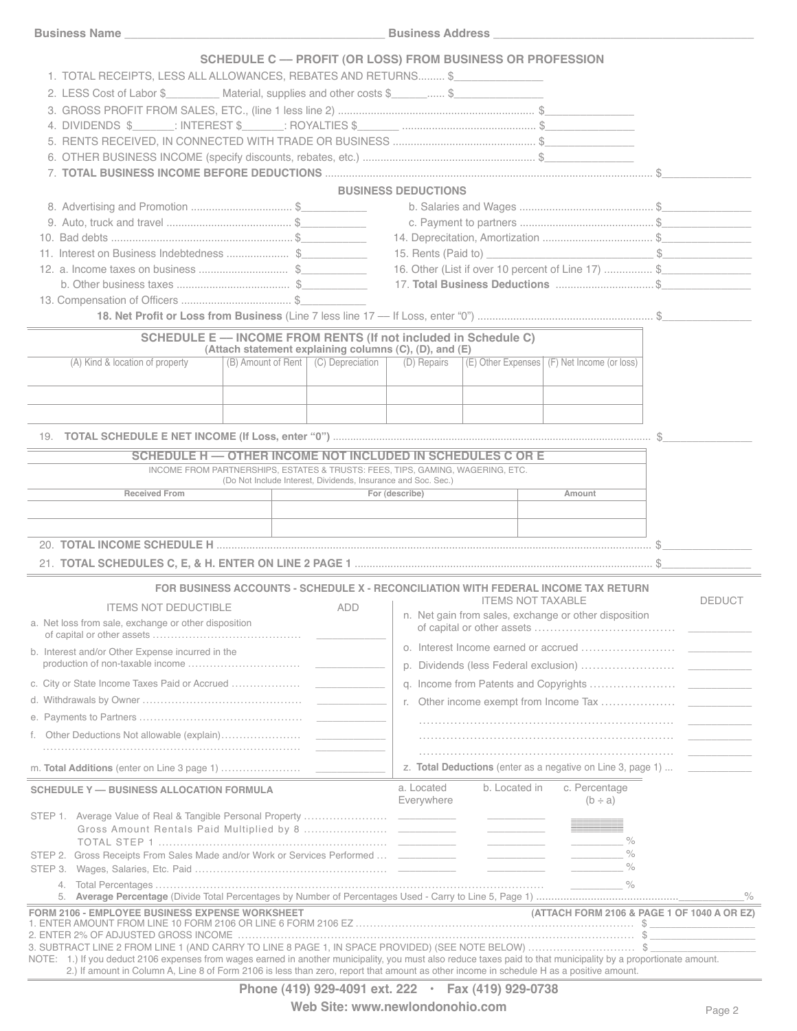|                                                                                                                                                                  | SCHEDULE C — PROFIT (OR LOSS) FROM BUSINESS OR PROFESSION                                                      |                                             |  |  |
|------------------------------------------------------------------------------------------------------------------------------------------------------------------|----------------------------------------------------------------------------------------------------------------|---------------------------------------------|--|--|
| 1. TOTAL RECEIPTS, LESS ALL ALLOWANCES, REBATES AND RETURNS \$                                                                                                   |                                                                                                                |                                             |  |  |
| 2. LESS Cost of Labor \$__________ Material, supplies and other costs \$______ \$_______________                                                                 |                                                                                                                |                                             |  |  |
|                                                                                                                                                                  |                                                                                                                |                                             |  |  |
|                                                                                                                                                                  |                                                                                                                |                                             |  |  |
|                                                                                                                                                                  |                                                                                                                |                                             |  |  |
|                                                                                                                                                                  |                                                                                                                |                                             |  |  |
|                                                                                                                                                                  |                                                                                                                |                                             |  |  |
|                                                                                                                                                                  |                                                                                                                |                                             |  |  |
|                                                                                                                                                                  | <b>BUSINESS DEDUCTIONS</b>                                                                                     |                                             |  |  |
| 8. Advertising and Promotion \$                                                                                                                                  |                                                                                                                |                                             |  |  |
|                                                                                                                                                                  |                                                                                                                |                                             |  |  |
|                                                                                                                                                                  |                                                                                                                |                                             |  |  |
| 11. Interest on Business Indebtedness \$                                                                                                                         |                                                                                                                |                                             |  |  |
| 12. a. Income taxes on business \$                                                                                                                               | 16. Other (List if over 10 percent of Line 17)  \$                                                             |                                             |  |  |
|                                                                                                                                                                  | 17. Total Business Deductions  \$                                                                              |                                             |  |  |
|                                                                                                                                                                  |                                                                                                                |                                             |  |  |
|                                                                                                                                                                  |                                                                                                                |                                             |  |  |
| <b>SCHEDULE E -- INCOME FROM RENTS (If not included in Schedule C)</b>                                                                                           |                                                                                                                |                                             |  |  |
| (Attach statement explaining columns (C), (D), and (E)<br>(B) Amount of Rent   (C) Depreciation  <br>(A) Kind & location of property                             | (E) Other Expenses (F) Net Income (or loss)<br>(D) Repairs                                                     |                                             |  |  |
|                                                                                                                                                                  |                                                                                                                |                                             |  |  |
|                                                                                                                                                                  |                                                                                                                |                                             |  |  |
|                                                                                                                                                                  |                                                                                                                |                                             |  |  |
|                                                                                                                                                                  |                                                                                                                |                                             |  |  |
| SCHEDULE H - OTHER INCOME NOT INCLUDED IN SCHEDULES C OR E                                                                                                       |                                                                                                                |                                             |  |  |
| INCOME FROM PARTNERSHIPS, ESTATES & TRUSTS: FEES, TIPS, GAMING, WAGERING, ETC.                                                                                   |                                                                                                                |                                             |  |  |
| (Do Not Include Interest, Dividends, Insurance and Soc. Sec.)<br><b>Received From</b>                                                                            | For (describe)<br>Amount                                                                                       |                                             |  |  |
|                                                                                                                                                                  |                                                                                                                |                                             |  |  |
|                                                                                                                                                                  |                                                                                                                |                                             |  |  |
|                                                                                                                                                                  |                                                                                                                |                                             |  |  |
|                                                                                                                                                                  |                                                                                                                |                                             |  |  |
|                                                                                                                                                                  |                                                                                                                |                                             |  |  |
|                                                                                                                                                                  | FOR BUSINESS ACCOUNTS - SCHEDULE X - RECONCILIATION WITH FEDERAL INCOME TAX RETURN<br><b>ITEMS NOT TAXABLE</b> | <b>DEDUCT</b>                               |  |  |
| <b>ITEMS NOT DEDUCTIBLE</b><br>ADD                                                                                                                               | n. Net gain from sales, exchange or other disposition                                                          |                                             |  |  |
| a. Net loss from sale, exchange or other disposition                                                                                                             |                                                                                                                |                                             |  |  |
| b. Interest and/or Other Expense incurred in the                                                                                                                 | D.                                                                                                             |                                             |  |  |
|                                                                                                                                                                  |                                                                                                                |                                             |  |  |
|                                                                                                                                                                  |                                                                                                                |                                             |  |  |
|                                                                                                                                                                  |                                                                                                                |                                             |  |  |
|                                                                                                                                                                  |                                                                                                                |                                             |  |  |
|                                                                                                                                                                  |                                                                                                                |                                             |  |  |
|                                                                                                                                                                  | z. Total Deductions (enter as a negative on Line 3, page 1)  ___________                                       |                                             |  |  |
| <b>SCHEDULE Y - BUSINESS ALLOCATION FORMULA</b>                                                                                                                  | a. Located<br>b. Located in<br>c. Percentage                                                                   |                                             |  |  |
|                                                                                                                                                                  | Everywhere<br>$(b \div a)$                                                                                     |                                             |  |  |
|                                                                                                                                                                  |                                                                                                                |                                             |  |  |
|                                                                                                                                                                  | $\frac{1}{\sqrt{2}}$                                                                                           |                                             |  |  |
| STEP 2. Gross Receipts From Sales Made and/or Work or Services Performed  ___________                                                                            | $\%$                                                                                                           |                                             |  |  |
|                                                                                                                                                                  | $\%$<br><u> 1989 - Johann Barn, fransk politik fotograf (d. 1989)</u>                                          |                                             |  |  |
| 4.                                                                                                                                                               |                                                                                                                |                                             |  |  |
| 5.                                                                                                                                                               |                                                                                                                |                                             |  |  |
| <b>FORM 2106 - EMPLOYEE BUSINESS EXPENSE WORKSHEET</b>                                                                                                           |                                                                                                                | (ATTACH FORM 2106 & PAGE 1 OF 1040 A OR EZ) |  |  |
| 3. SUBTRACT LINE 2 FROM LINE 1 (AND CARRY TO LINE 8 PAGE 1, IN SPACE PROVIDED) (SEE NOTE BELOW) \$                                                               |                                                                                                                |                                             |  |  |
| NOTE: 1.) If you deduct 2106 expenses from wages earned in another municipality, you must also reduce taxes paid to that municipality by a proportionate amount. |                                                                                                                |                                             |  |  |
| 2.) If amount in Column A, Line 8 of Form 2106 is less than zero, report that amount as other income in schedule H as a positive amount.                         |                                                                                                                |                                             |  |  |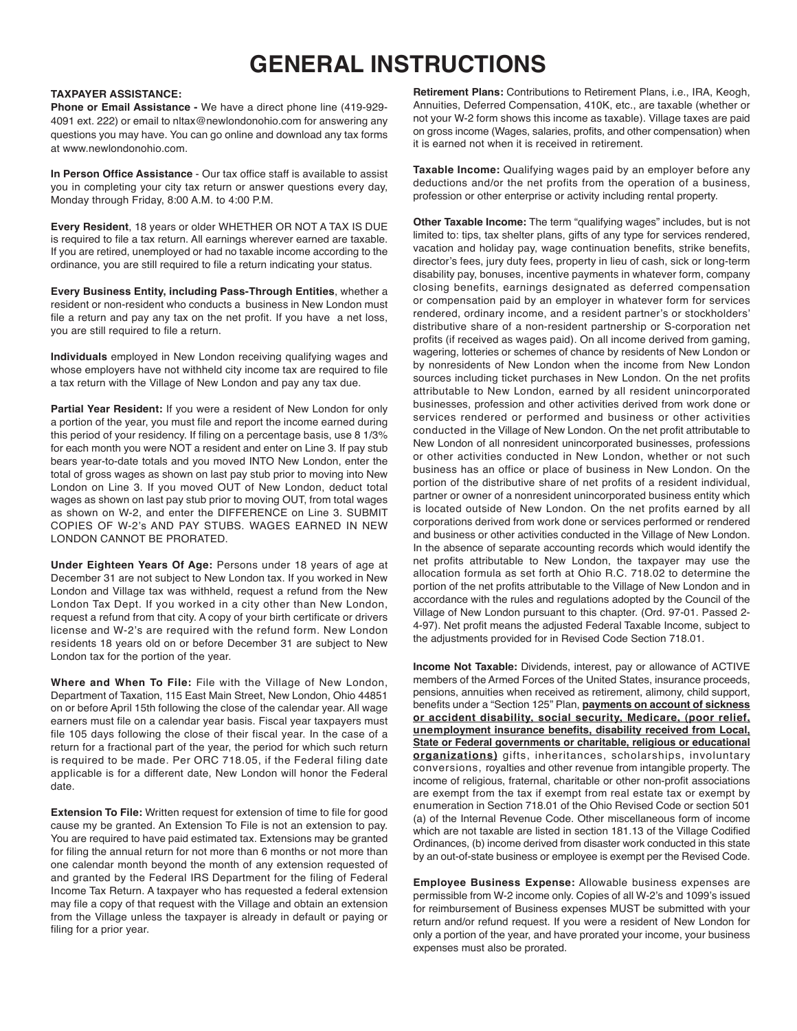# **GENERAL INSTRUCTIONS**

#### **TAXPAYER ASSISTANCE:**

**Phone or Email Assistance -** We have a direct phone line (419-929- 4091 ext. 222) or email to nltax@newlondonohio.com for answering any questions you may have. You can go online and download any tax forms at www.newlondonohio.com.

**In Person Office Assistance** - Our tax office staff is available to assist you in completing your city tax return or answer questions every day, Monday through Friday, 8:00 A.M. to 4:00 P.M.

**Every Resident**, 18 years or older WHETHER OR NOT A TAX IS DUE is required to file a tax return. All earnings wherever earned are taxable. If you are retired, unemployed or had no taxable income according to the ordinance, you are still required to file a return indicating your status.

**Every Business Entity, including Pass-Through Entities**, whether a resident or non-resident who conducts a business in New London must file a return and pay any tax on the net profit. If you have a net loss, you are still required to file a return.

**Individuals** employed in New London receiving qualifying wages and whose employers have not withheld city income tax are required to file a tax return with the Village of New London and pay any tax due.

**Partial Year Resident:** If you were a resident of New London for only a portion of the year, you must file and report the income earned during this period of your residency. If filing on a percentage basis, use 8 1/3% for each month you were NOT a resident and enter on Line 3. If pay stub bears year-to-date totals and you moved INTO New London, enter the total of gross wages as shown on last pay stub prior to moving into New London on Line 3. If you moved OUT of New London, deduct total wages as shown on last pay stub prior to moving OUT, from total wages as shown on W-2, and enter the DIFFERENCE on Line 3. SUBMIT COPIES OF W-2's AND PAY STUBS. WAGES EARNED IN NEW LONDON CANNOT BE PRORATED.

**Under Eighteen Years Of Age:** Persons under 18 years of age at December 31 are not subject to New London tax. If you worked in New London and Village tax was withheld, request a refund from the New London Tax Dept. If you worked in a city other than New London, request a refund from that city. A copy of your birth certificate or drivers license and W-2's are required with the refund form. New London residents 18 years old on or before December 31 are subject to New London tax for the portion of the year.

**Where and When To File:** File with the Village of New London, Department of Taxation, 115 East Main Street, New London, Ohio 44851 on or before April 15th following the close of the calendar year. All wage earners must file on a calendar year basis. Fiscal year taxpayers must file 105 days following the close of their fiscal year. In the case of a return for a fractional part of the year, the period for which such return is required to be made. Per ORC 718.05, if the Federal filing date applicable is for a different date, New London will honor the Federal date.

**Extension To File:** Written request for extension of time to file for good cause my be granted. An Extension To File is not an extension to pay. You are required to have paid estimated tax. Extensions may be granted for filing the annual return for not more than 6 months or not more than one calendar month beyond the month of any extension requested of and granted by the Federal IRS Department for the filing of Federal Income Tax Return. A taxpayer who has requested a federal extension may file a copy of that request with the Village and obtain an extension from the Village unless the taxpayer is already in default or paying or filing for a prior year.

**Retirement Plans:** Contributions to Retirement Plans, i.e., IRA, Keogh, Annuities, Deferred Compensation, 410K, etc., are taxable (whether or not your W-2 form shows this income as taxable). Village taxes are paid on gross income (Wages, salaries, profits, and other compensation) when it is earned not when it is received in retirement.

**Taxable Income:** Qualifying wages paid by an employer before any deductions and/or the net profits from the operation of a business, profession or other enterprise or activity including rental property.

**Other Taxable Income:** The term "qualifying wages" includes, but is not limited to: tips, tax shelter plans, gifts of any type for services rendered, vacation and holiday pay, wage continuation benefits, strike benefits, director's fees, jury duty fees, property in lieu of cash, sick or long-term disability pay, bonuses, incentive payments in whatever form, company closing benefits, earnings designated as deferred compensation or compensation paid by an employer in whatever form for services rendered, ordinary income, and a resident partner's or stockholders' distributive share of a non-resident partnership or S-corporation net profits (if received as wages paid). On all income derived from gaming, wagering, lotteries or schemes of chance by residents of New London or by nonresidents of New London when the income from New London sources including ticket purchases in New London. On the net profits attributable to New London, earned by all resident unincorporated businesses, profession and other activities derived from work done or services rendered or performed and business or other activities conducted in the Village of New London. On the net profit attributable to New London of all nonresident unincorporated businesses, professions or other activities conducted in New London, whether or not such business has an office or place of business in New London. On the portion of the distributive share of net profits of a resident individual, partner or owner of a nonresident unincorporated business entity which is located outside of New London. On the net profits earned by all corporations derived from work done or services performed or rendered and business or other activities conducted in the Village of New London. In the absence of separate accounting records which would identify the net profits attributable to New London, the taxpayer may use the allocation formula as set forth at Ohio R.C. 718.02 to determine the portion of the net profits attributable to the Village of New London and in accordance with the rules and regulations adopted by the Council of the Village of New London pursuant to this chapter. (Ord. 97-01. Passed 2- 4-97). Net profit means the adjusted Federal Taxable Income, subject to the adjustments provided for in Revised Code Section 718.01.

**Income Not Taxable:** Dividends, interest, pay or allowance of ACTIVE members of the Armed Forces of the United States, insurance proceeds, pensions, annuities when received as retirement, alimony, child support, benefits under a "Section 125" Plan, **payments on account of sickness or accident disability, social security, Medicare, (poor relief, unemployment insurance benefits, disability received from Local, State or Federal governments or charitable, religious or educational organizations)** gifts, inheritances, scholarships, involuntary conversions, royalties and other revenue from intangible property. The income of religious, fraternal, charitable or other non-profit associations are exempt from the tax if exempt from real estate tax or exempt by enumeration in Section 718.01 of the Ohio Revised Code or section 501 (a) of the Internal Revenue Code. Other miscellaneous form of income which are not taxable are listed in section 181.13 of the Village Codified Ordinances, (b) income derived from disaster work conducted in this state by an out-of-state business or employee is exempt per the Revised Code.

**Employee Business Expense:** Allowable business expenses are permissible from W-2 income only. Copies of all W-2's and 1099's issued for reimbursement of Business expenses MUST be submitted with your return and/or refund request. If you were a resident of New London for only a portion of the year, and have prorated your income, your business expenses must also be prorated.